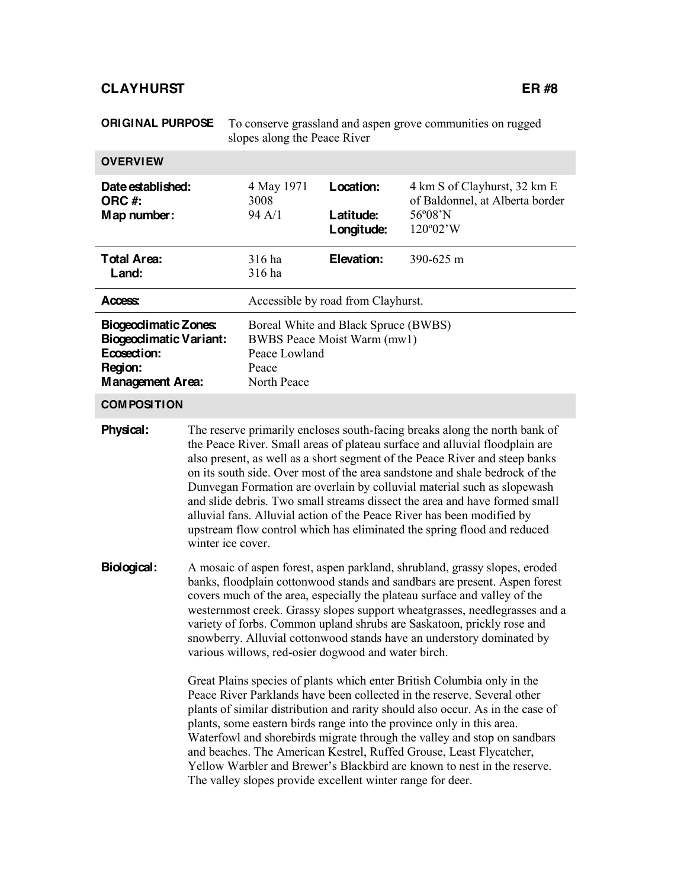## **CLAYHURST ER #8**

|                                                                                                                    | <b>ORIGINAL PURPOSE</b> |                                                                                                                                                                                                                                                                                                                                                                                                                                                                                                                                                                                                                                                                                                                                                                                                                                                                                                                                                                                                   | To conserve grassland and aspen grove communities on rugged<br>slopes along the Peace River |                                                                            |  |
|--------------------------------------------------------------------------------------------------------------------|-------------------------|---------------------------------------------------------------------------------------------------------------------------------------------------------------------------------------------------------------------------------------------------------------------------------------------------------------------------------------------------------------------------------------------------------------------------------------------------------------------------------------------------------------------------------------------------------------------------------------------------------------------------------------------------------------------------------------------------------------------------------------------------------------------------------------------------------------------------------------------------------------------------------------------------------------------------------------------------------------------------------------------------|---------------------------------------------------------------------------------------------|----------------------------------------------------------------------------|--|
| <b>OVERVIEW</b>                                                                                                    |                         |                                                                                                                                                                                                                                                                                                                                                                                                                                                                                                                                                                                                                                                                                                                                                                                                                                                                                                                                                                                                   |                                                                                             |                                                                            |  |
| Date established:<br>ORC #:                                                                                        |                         | 4 May 1971<br>3008                                                                                                                                                                                                                                                                                                                                                                                                                                                                                                                                                                                                                                                                                                                                                                                                                                                                                                                                                                                | Location:<br>Latitude:                                                                      | 4 km S of Clayhurst, 32 km E<br>of Baldonnel, at Alberta border<br>56°08'N |  |
| Map number:                                                                                                        |                         | 94 A/1                                                                                                                                                                                                                                                                                                                                                                                                                                                                                                                                                                                                                                                                                                                                                                                                                                                                                                                                                                                            | Longitude:                                                                                  | 120°02'W                                                                   |  |
| <b>Total Area:</b><br>Land:                                                                                        |                         | 316 ha<br>316 ha                                                                                                                                                                                                                                                                                                                                                                                                                                                                                                                                                                                                                                                                                                                                                                                                                                                                                                                                                                                  | Elevation:                                                                                  | 390-625 m                                                                  |  |
| Access:                                                                                                            |                         | Accessible by road from Clayhurst.                                                                                                                                                                                                                                                                                                                                                                                                                                                                                                                                                                                                                                                                                                                                                                                                                                                                                                                                                                |                                                                                             |                                                                            |  |
| <b>Biogeoclimatic Zones:</b><br><b>Biogeodimatic Variant:</b><br>Ecosection:<br>Region:<br><b>Management Area:</b> |                         | Boreal White and Black Spruce (BWBS)<br>BWBS Peace Moist Warm (mw1)<br>Peace Lowland<br>Peace<br>North Peace                                                                                                                                                                                                                                                                                                                                                                                                                                                                                                                                                                                                                                                                                                                                                                                                                                                                                      |                                                                                             |                                                                            |  |
| <b>COMPOSITION</b>                                                                                                 |                         |                                                                                                                                                                                                                                                                                                                                                                                                                                                                                                                                                                                                                                                                                                                                                                                                                                                                                                                                                                                                   |                                                                                             |                                                                            |  |
| Physical:                                                                                                          | winter ice cover.       | The reserve primarily encloses south-facing breaks along the north bank of<br>the Peace River. Small areas of plateau surface and alluvial floodplain are<br>also present, as well as a short segment of the Peace River and steep banks<br>on its south side. Over most of the area sandstone and shale bedrock of the<br>Dunvegan Formation are overlain by colluvial material such as slopewash<br>and slide debris. Two small streams dissect the area and have formed small<br>alluvial fans. Alluvial action of the Peace River has been modified by<br>upstream flow control which has eliminated the spring flood and reduced                                                                                                                                                                                                                                                                                                                                                             |                                                                                             |                                                                            |  |
| Biological:                                                                                                        |                         | A mosaic of aspen forest, aspen parkland, shrubland, grassy slopes, eroded<br>banks, floodplain cottonwood stands and sandbars are present. Aspen forest<br>covers much of the area, especially the plateau surface and valley of the<br>westernmost creek. Grassy slopes support wheatgrasses, needlegrasses and a<br>variety of forbs. Common upland shrubs are Saskatoon, prickly rose and<br>snowberry. Alluvial cottonwood stands have an understory dominated by<br>various willows, red-osier dogwood and water birch.<br>Great Plains species of plants which enter British Columbia only in the<br>Peace River Parklands have been collected in the reserve. Several other<br>plants of similar distribution and rarity should also occur. As in the case of<br>plants, some eastern birds range into the province only in this area.<br>Waterfowl and shorebirds migrate through the valley and stop on sandbars<br>and beaches. The American Kestrel, Ruffed Grouse, Least Flycatcher, |                                                                                             |                                                                            |  |
|                                                                                                                    |                         |                                                                                                                                                                                                                                                                                                                                                                                                                                                                                                                                                                                                                                                                                                                                                                                                                                                                                                                                                                                                   | The valley slopes provide excellent winter range for deer.                                  | Yellow Warbler and Brewer's Blackbird are known to nest in the reserve.    |  |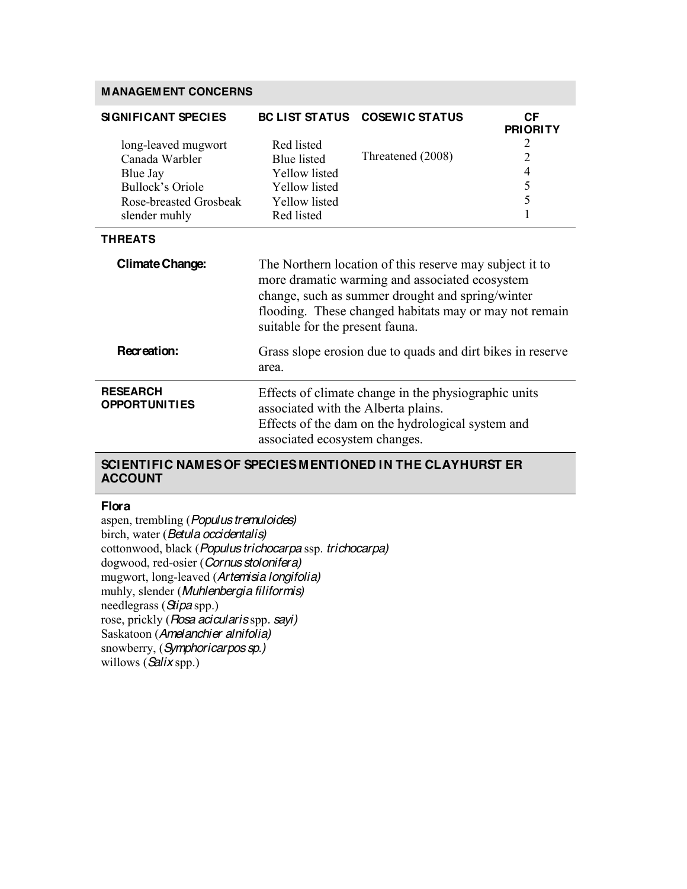| <b>MANAGEMENT CONCERNS</b>                                                                                              |                                                                                                                                                                                                                                                            |                                                                                                           |                                                 |  |  |  |  |
|-------------------------------------------------------------------------------------------------------------------------|------------------------------------------------------------------------------------------------------------------------------------------------------------------------------------------------------------------------------------------------------------|-----------------------------------------------------------------------------------------------------------|-------------------------------------------------|--|--|--|--|
| <b>SIGNIFICANT SPECIES</b>                                                                                              | <b>BC LIST STATUS</b>                                                                                                                                                                                                                                      | <b>COSEWIC STATUS</b>                                                                                     | <b>CF</b><br><b>PRIORITY</b>                    |  |  |  |  |
| long-leaved mugwort<br>Canada Warbler<br>Blue Jay<br><b>Bullock's Oriole</b><br>Rose-breasted Grosbeak<br>slender muhly | Red listed<br><b>Blue</b> listed<br>Yellow listed<br><b>Yellow</b> listed<br><b>Yellow</b> listed<br>Red listed                                                                                                                                            | Threatened (2008)                                                                                         | 2<br>$\overline{2}$<br>$\overline{4}$<br>5<br>5 |  |  |  |  |
| <b>THREATS</b>                                                                                                          |                                                                                                                                                                                                                                                            |                                                                                                           |                                                 |  |  |  |  |
| <b>Climate Change:</b>                                                                                                  | The Northern location of this reserve may subject it to<br>more dramatic warming and associated ecosystem<br>change, such as summer drought and spring/winter<br>flooding. These changed habitats may or may not remain<br>suitable for the present fauna. |                                                                                                           |                                                 |  |  |  |  |
| Recreation:                                                                                                             | Grass slope erosion due to quads and dirt bikes in reserve<br>area.                                                                                                                                                                                        |                                                                                                           |                                                 |  |  |  |  |
| <b>RESEARCH</b><br><b>OPPORTUNITIES</b>                                                                                 | associated with the Alberta plains.<br>associated ecosystem changes.                                                                                                                                                                                       | Effects of climate change in the physiographic units<br>Effects of the dam on the hydrological system and |                                                 |  |  |  |  |

## **SCIENTIFIC NAMES OF SPECIES MENTIONED IN THE CLAYHURST ER ACCOUNT**

## **Flora**

aspen, trembling (*Populus tremuloides)* birch, water (*Betula occidentalis)* cottonwood, black (*Populus trichocarpa* ssp. *trichocarpa)* dogwood, red-osier (*Cornus stolonifera)* mugwort, long-leaved (*Artemisia longifolia)* muhly, slender (*Muhlenbergia filiformis)* needlegrass (*Stipa* spp.) rose, prickly (*Rosa acicularis* spp*. sayi)*  Saskatoon (*Amelanchier alnifolia)* snowberry, (*Symphoricarpos sp.)* willows (*Salix* spp.)